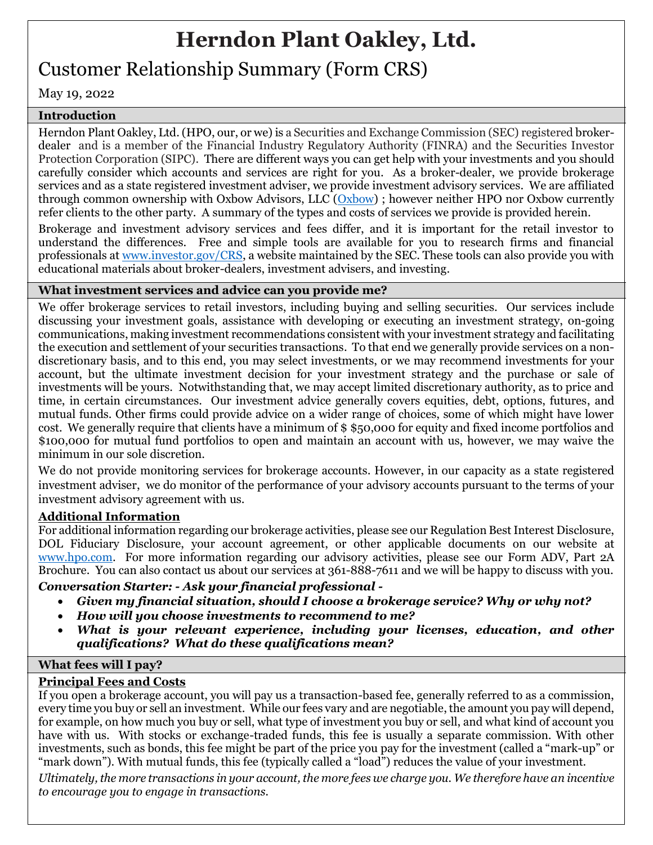# **Herndon Plant Oakley, Ltd.**

# Customer Relationship Summary (Form CRS)

May 19, 2022

# **Introduction**

Herndon Plant Oakley, Ltd. (HPO, our, or we) is a Securities and Exchange Commission (SEC) registered brokerdealer and is a member of the Financial Industry Regulatory Authority (FINRA) and the Securities Investor Protection Corporation (SIPC). There are different ways you can get help with your investments and you should carefully consider which accounts and services are right for you. As a broker-dealer, we provide brokerage services and as a state registered investment adviser, we provide investment advisory services. We are affiliated through common ownership with Oxbow Advisors, LLC [\(Oxbow\)](https://oxbowadvisors.com/wp-content/uploads/2022/03/Oxbow-Form-CRS-dtd-3-22-22.pdf) ; however neither HPO nor Oxbow currently refer clients to the other party. A summary of the types and costs of services we provide is provided herein.

Brokerage and investment advisory services and fees differ, and it is important for the retail investor to understand the differences. Free and simple tools are available for you to research firms and financial professionals a[t www.investor.gov/CRS,](http://www.investor.gov/CRS) a website maintained by the SEC. These tools can also provide you with educational materials about broker-dealers, investment advisers, and investing.

# **What investment services and advice can you provide me?**

We offer brokerage services to retail investors, including buying and selling securities. Our services include discussing your investment goals, assistance with developing or executing an investment strategy, on-going communications, making investment recommendations consistent with your investment strategy and facilitating the execution and settlement of your securities transactions. To that end we generally provide services on a nondiscretionary basis, and to this end, you may select investments, or we may recommend investments for your account, but the ultimate investment decision for your investment strategy and the purchase or sale of investments will be yours. Notwithstanding that, we may accept limited discretionary authority, as to price and time, in certain circumstances. Our investment advice generally covers equities, debt, options, futures, and mutual funds. Other firms could provide advice on a wider range of choices, some of which might have lower cost. We generally require that clients have a minimum of \$ \$50,000 for equity and fixed income portfolios and \$100,000 for mutual fund portfolios to open and maintain an account with us, however, we may waive the minimum in our sole discretion.

We do not provide monitoring services for brokerage accounts. However, in our capacity as a state registered investment adviser, we do monitor of the performance of your advisory accounts pursuant to the terms of your investment advisory agreement with us.

# **Additional Information**

For additional information regarding our brokerage activities, please see our Regulation Best Interest Disclosure, DOL Fiduciary Disclosure, your account agreement, or other applicable documents on our website at [www.hpo.com.](file://///vfs3.legayelaw.local/Clients/Herndon%20Plant%20Oakley/Operations/Regulation%20Best%20Interest%20(BI)/Form%20CRS/www.hpo.com) For more information regarding our advisory activities, please see our Form ADV, Part 2A Brochure. You can also contact us about our services at 361-888-7611 and we will be happy to discuss with you.

# *Conversation Starter: - Ask your financial professional -*

- *Given my financial situation, should I choose a brokerage service? Why or why not?*
- *How will you choose investments to recommend to me?*
- *What is your relevant experience, including your licenses, education, and other qualifications? What do these qualifications mean?*

# **What fees will I pay?**

# **Principal Fees and Costs**

If you open a brokerage account, you will pay us a transaction-based fee, generally referred to as a commission, every time you buy or sell an investment. While our fees vary and are negotiable, the amount you pay will depend, for example, on how much you buy or sell, what type of investment you buy or sell, and what kind of account you have with us. With stocks or exchange-traded funds, this fee is usually a separate commission. With other investments, such as bonds, this fee might be part of the price you pay for the investment (called a "mark-up" or "mark down"). With mutual funds, this fee (typically called a "load") reduces the value of your investment.

*Ultimately, the more transactions in your account, the more fees we charge you. We therefore have an incentive to encourage you to engage in transactions.*